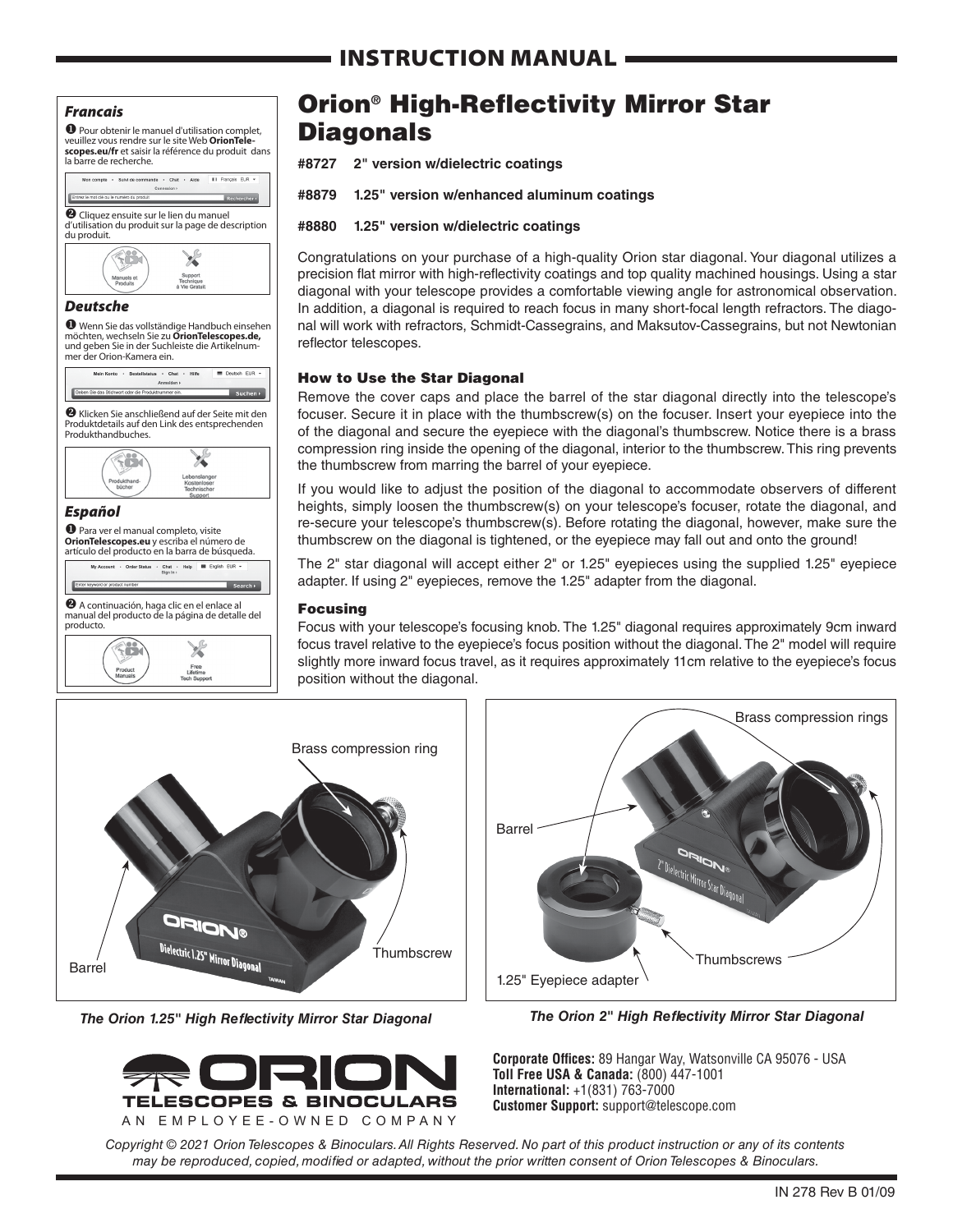## INSTRUCTION MANUAL

#### *Francais*

**O** Pour obtenir le manuel d'utilisation complet,<br>veuillez vous rendre sur le site Web **OrionTele**veuillez vous rendre sur le site Web **OrionTele- scopes.eu/fr** et saisir la référence du produit dans la barre de recherche.



möchten, wechseln Sie zu **OrionTelescopes.de,** und geben Sie in der Suchleiste die Artikelnum- mer der Orion-Kamera ein.

v Klicken Sie anschließend auf der Seite mit den Produktdetails auf den Link des entsprechenden Produkthandbuches.  $\mathbf{z}$  $\sim$ 

### *Español*

 $\bullet$  Para ver el manual completo, visite **OrionTelescopes.eu** y escriba el número de artículo del producto en la barra de búsqueda.

 $\Theta$  A continuación, haga clic en el enlace al<br>manual del producto de la página de detalle del

Order Status . Chat . Help | III English EUR<br>Sign In :

producto. N. 96

## Orion® High-Reflectivity Mirror Star **Diagonals**

**#8727 2" version w/dielectric coatings**

**#8879 1.25" version w/enhanced aluminum coatings**

#### **#8880 1.25" version w/dielectric coatings**

Congratulations on your purchase of a high-quality Orion star diagonal. Your diagonal utilizes a precision flat mirror with high-reflectivity coatings and top quality machined housings. Using a star diagonal with your telescope provides a comfortable viewing angle for astronomical observation. In addition, a diagonal is required to reach focus in many short-focal length refractors. The diagonal will work with refractors, Schmidt-Cassegrains, and Maksutov-Cassegrains, but not Newtonian reflector telescopes.

#### How to Use the Star Diagonal

Remove the cover caps and place the barrel of the star diagonal directly into the telescope's focuser. Secure it in place with the thumbscrew(s) on the focuser. Insert your eyepiece into the of the diagonal and secure the eyepiece with the diagonal's thumbscrew. Notice there is a brass compression ring inside the opening of the diagonal, interior to the thumbscrew. This ring prevents the thumbscrew from marring the barrel of your eyepiece.

If you would like to adjust the position of the diagonal to accommodate observers of different heights, simply loosen the thumbscrew(s) on your telescope's focuser, rotate the diagonal, and re-secure your telescope's thumbscrew(s). Before rotating the diagonal, however, make sure the thumbscrew on the diagonal is tightened, or the eyepiece may fall out and onto the ground!

The 2" star diagonal will accept either 2" or 1.25" eyepieces using the supplied 1.25" eyepiece adapter. If using 2" eyepieces, remove the 1.25" adapter from the diagonal.

#### Focusing

Focus with your telescope's focusing knob. The 1.25" diagonal requires approximately 9cm inward focus travel relative to the eyepiece's focus position without the diagonal. The 2" model will require slightly more inward focus travel, as it requires approximately 11cm relative to the eyepiece's focus position without the diagonal.



*The Orion 1.25" High Reflectivity Mirror Star Diagonal* 





*The Orion 2" High Reflectivity Mirror Star Diagonal* 

**Corporate Offices:** 89 Hangar Way, Watsonville CA 95076 - USA **Toll Free USA & Canada:** (800) 447-1001 **International:** +1(831) 763-7000 **Customer Support:** support@telescope.com

*Copyright © 2021 Orion Telescopes & Binoculars. All Rights Reserved. No part of this product instruction or any of its contents may be reproduced, copied, modified or adapted, without the prior written consent of Orion Telescopes & Binoculars.*